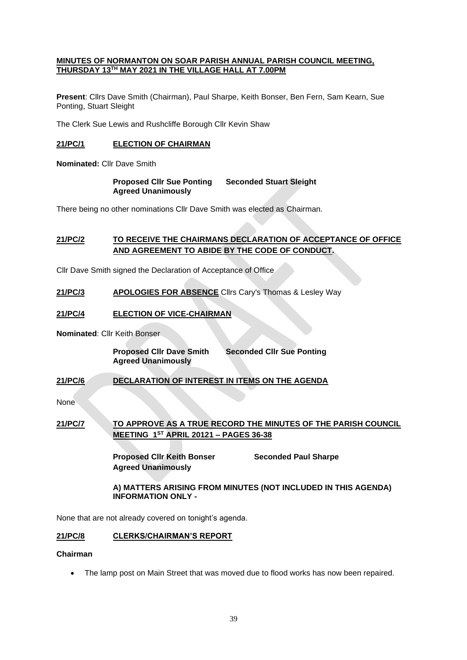#### **MINUTES OF NORMANTON ON SOAR PARISH ANNUAL PARISH COUNCIL MEETING, THURSDAY 13TH MAY 2021 IN THE VILLAGE HALL AT 7.00PM**

**Present**: Cllrs Dave Smith (Chairman), Paul Sharpe, Keith Bonser, Ben Fern, Sam Kearn, Sue Ponting, Stuart Sleight

The Clerk Sue Lewis and Rushcliffe Borough Cllr Kevin Shaw

### **21/PC/1 ELECTION OF CHAIRMAN**

**Nominated:** Cllr Dave Smith

**Proposed Cllr Sue Ponting Seconded Stuart Sleight Agreed Unanimously**

There being no other nominations Cllr Dave Smith was elected as Chairman.

# **21/PC/2 TO RECEIVE THE CHAIRMANS DECLARATION OF ACCEPTANCE OF OFFICE AND AGREEMENT TO ABIDE BY THE CODE OF CONDUCT.**

Cllr Dave Smith signed the Declaration of Acceptance of Office

**21/PC/3 APOLOGIES FOR ABSENCE** Cllrs Cary's Thomas & Lesley Way

### **21/PC/4 ELECTION OF VICE-CHAIRMAN**

**Nominated**: Cllr Keith Bonser

**Proposed Cllr Dave Smith Seconded Cllr Sue Ponting Agreed Unanimously**

### **21/PC/6 DECLARATION OF INTEREST IN ITEMS ON THE AGENDA**

None

# **21/PC/7 TO APPROVE AS A TRUE RECORD THE MINUTES OF THE PARISH COUNCIL MEETING 1ST APRIL 20121 – PAGES 36-38**

**Proposed Cllr Keith Bonser Seconded Paul Sharpe Agreed Unanimously**

**A) MATTERS ARISING FROM MINUTES (NOT INCLUDED IN THIS AGENDA) INFORMATION ONLY -** 

None that are not already covered on tonight's agenda.

#### **21/PC/8 CLERKS/CHAIRMAN'S REPORT**

#### **Chairman**

• The lamp post on Main Street that was moved due to flood works has now been repaired.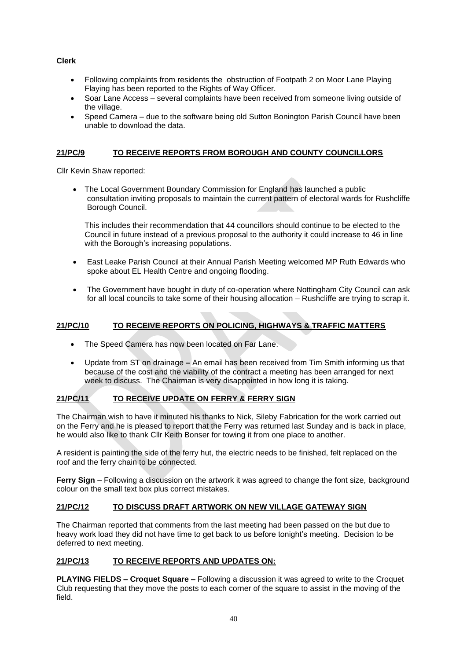**Clerk**

- Following complaints from residents the obstruction of Footpath 2 on Moor Lane Playing Flaying has been reported to the Rights of Way Officer.
- Soar Lane Access several complaints have been received from someone living outside of the village.
- Speed Camera due to the software being old Sutton Bonington Parish Council have been unable to download the data.

# **21/PC/9 TO RECEIVE REPORTS FROM BOROUGH AND COUNTY COUNCILLORS**

Cllr Kevin Shaw reported:

• The Local Government Boundary Commission for England has launched a public consultation inviting proposals to maintain the current pattern of electoral wards for Rushcliffe Borough Council.

This includes their recommendation that 44 councillors should continue to be elected to the Council in future instead of a previous proposal to the authority it could increase to 46 in line with the Borough's increasing populations.

- East Leake Parish Council at their Annual Parish Meeting welcomed MP Ruth Edwards who spoke about EL Health Centre and ongoing flooding.
- The Government have bought in duty of co-operation where Nottingham City Council can ask for all local councils to take some of their housing allocation – Rushcliffe are trying to scrap it.

# **21/PC/10 TO RECEIVE REPORTS ON POLICING, HIGHWAYS & TRAFFIC MATTERS**

- The Speed Camera has now been located on Far Lane.
- Update from ST on drainage **–** An email has been received from Tim Smith informing us that because of the cost and the viability of the contract a meeting has been arranged for next week to discuss. The Chairman is very disappointed in how long it is taking.

# **21/PC/11 TO RECEIVE UPDATE ON FERRY & FERRY SIGN**

The Chairman wish to have it minuted his thanks to Nick, Sileby Fabrication for the work carried out on the Ferry and he is pleased to report that the Ferry was returned last Sunday and is back in place, he would also like to thank Cllr Keith Bonser for towing it from one place to another.

A resident is painting the side of the ferry hut, the electric needs to be finished, felt replaced on the roof and the ferry chain to be connected.

**Ferry Sign** – Following a discussion on the artwork it was agreed to change the font size, background colour on the small text box plus correct mistakes.

# **21/PC/12 TO DISCUSS DRAFT ARTWORK ON NEW VILLAGE GATEWAY SIGN**

The Chairman reported that comments from the last meeting had been passed on the but due to heavy work load they did not have time to get back to us before tonight's meeting. Decision to be deferred to next meeting.

# **21/PC/13 TO RECEIVE REPORTS AND UPDATES ON:**

**PLAYING FIELDS – Croquet Square –** Following a discussion it was agreed to write to the Croquet Club requesting that they move the posts to each corner of the square to assist in the moving of the field.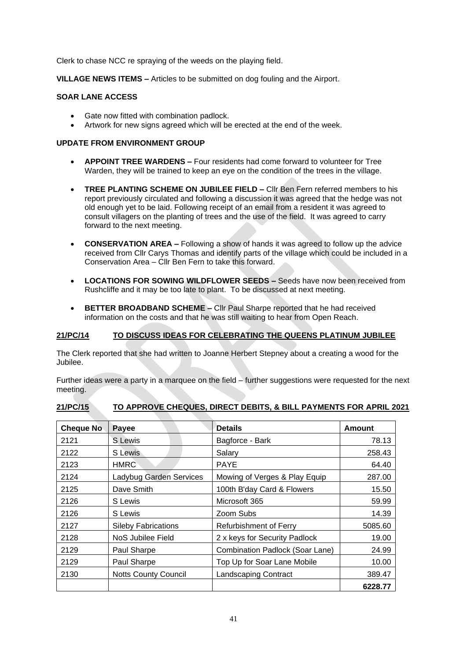Clerk to chase NCC re spraying of the weeds on the playing field.

**VILLAGE NEWS ITEMS –** Articles to be submitted on dog fouling and the Airport.

# **SOAR LANE ACCESS**

- Gate now fitted with combination padlock.
- Artwork for new signs agreed which will be erected at the end of the week.

#### **UPDATE FROM ENVIRONMENT GROUP**

- **APPOINT TREE WARDENS –** Four residents had come forward to volunteer for Tree Warden, they will be trained to keep an eye on the condition of the trees in the village.
- **TREE PLANTING SCHEME ON JUBILEE FIELD –** Cllr Ben Fern referred members to his report previously circulated and following a discussion it was agreed that the hedge was not old enough yet to be laid. Following receipt of an email from a resident it was agreed to consult villagers on the planting of trees and the use of the field. It was agreed to carry forward to the next meeting.
- **CONSERVATION AREA –** Following a show of hands it was agreed to follow up the advice received from Cllr Carys Thomas and identify parts of the village which could be included in a Conservation Area – Cllr Ben Fern to take this forward.
- **LOCATIONS FOR SOWING WILDFLOWER SEEDS –** Seeds have now been received from Rushcliffe and it may be too late to plant. To be discussed at next meeting.
- **BETTER BROADBAND SCHEME –** Cllr Paul Sharpe reported that he had received information on the costs and that he was still waiting to hear from Open Reach.

# **21/PC/14 TO DISCUSS IDEAS FOR CELEBRATING THE QUEENS PLATINUM JUBILEE**

The Clerk reported that she had written to Joanne Herbert Stepney about a creating a wood for the Jubilee.

Further ideas were a party in a marquee on the field – further suggestions were requested for the next meeting.

| 21/PC/15 |  | TO APPROVE CHEQUES, DIRECT DEBITS, & BILL PAYMENTS FOR APRIL 2021 |  |
|----------|--|-------------------------------------------------------------------|--|
|          |  |                                                                   |  |

| <b>Cheque No.</b> | Payee                       | <b>Details</b>                  | <b>Amount</b> |
|-------------------|-----------------------------|---------------------------------|---------------|
| 2121              | S Lewis                     | Bagforce - Bark                 | 78.13         |
| 2122              | S Lewis                     | Salary                          | 258.43        |
| 2123              | <b>HMRC</b>                 | <b>PAYE</b>                     | 64.40         |
| 2124              | Ladybug Garden Services     | Mowing of Verges & Play Equip   | 287.00        |
| 2125              | Dave Smith                  | 100th B'day Card & Flowers      | 15.50         |
| 2126              | S Lewis                     | Microsoft 365                   | 59.99         |
| 2126              | S Lewis                     | Zoom Subs                       | 14.39         |
| 2127              | <b>Sileby Fabrications</b>  | Refurbishment of Ferry          | 5085.60       |
| 2128              | NoS Jubilee Field           | 2 x keys for Security Padlock   | 19.00         |
| 2129              | Paul Sharpe                 | Combination Padlock (Soar Lane) | 24.99         |
| 2129              | Paul Sharpe                 | Top Up for Soar Lane Mobile     | 10.00         |
| 2130              | <b>Notts County Council</b> | Landscaping Contract            | 389.47        |
|                   |                             |                                 | 6228.77       |